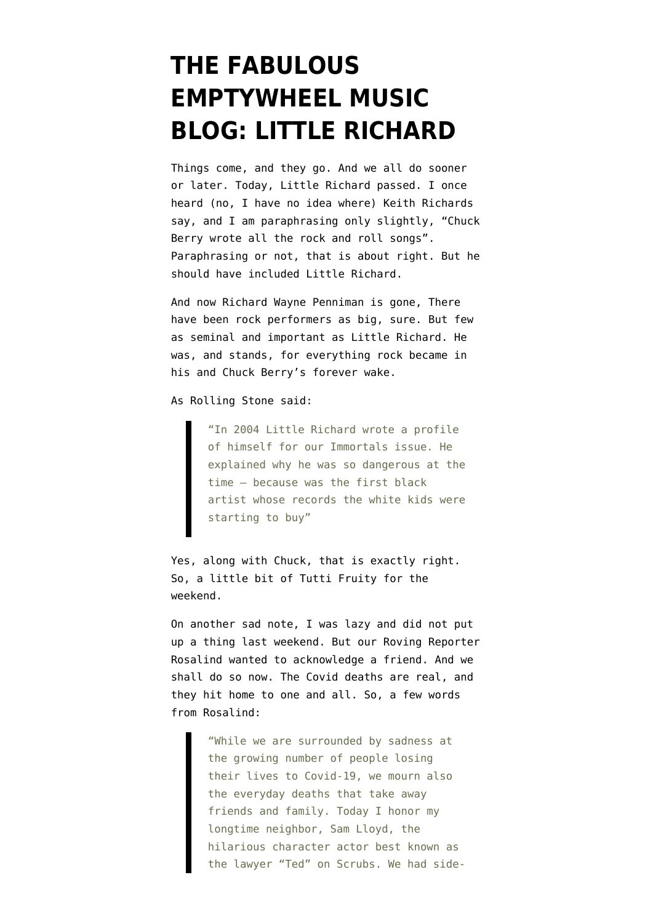## **[THE FABULOUS](https://www.emptywheel.net/2020/05/09/the-fabulous-emptywheel-music-blog-little-richard/) [EMPTYWHEEL MUSIC](https://www.emptywheel.net/2020/05/09/the-fabulous-emptywheel-music-blog-little-richard/) [BLOG: LITTLE RICHARD](https://www.emptywheel.net/2020/05/09/the-fabulous-emptywheel-music-blog-little-richard/)**

Things come, and they go. And we all do sooner or later. Today, Little Richard passed. I once heard (no, I have no idea where) Keith Richards say, and I am paraphrasing only slightly, "Chuck Berry wrote all the rock and roll songs". Paraphrasing or not, that is about right. But he should have included Little Richard.

And now Richard Wayne Penniman is gone, There have been rock performers as big, sure. But few as seminal and important as Little Richard. He was, and stands, for everything rock became in his and Chuck Berry's forever wake.

As [Rolling Stone said](https://www.rollingstone.com/music/music-news/little-richard-dead-48505/):

"In 2004 Little Richard wrote a profile of himself for our Immortals issue. He explained why he was so dangerous at the time — because was the first black artist whose records the white kids were starting to buy"

Yes, along with Chuck, that is exactly right. So, a little bit of Tutti Fruity for the weekend.

On another sad note, I was lazy and did not put up a thing last weekend. But our Roving Reporter Rosalind wanted to acknowledge a friend. And we shall do so now. The Covid deaths are real, and they hit home to one and all. So, a few words from Rosalind:

> "While we are surrounded by sadness at the growing number of people losing their lives to Covid-19, we mourn also the everyday deaths that take away friends and family. Today I honor my longtime neighbor, Sam Lloyd, the hilarious character actor best known as the lawyer "Ted" on Scrubs. We had side-